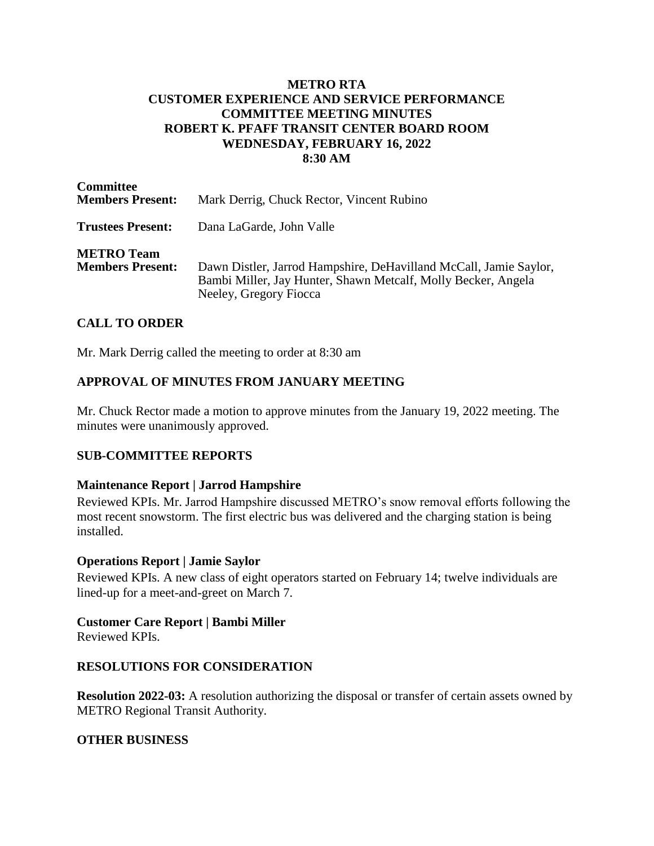### **METRO RTA CUSTOMER EXPERIENCE AND SERVICE PERFORMANCE COMMITTEE MEETING MINUTES ROBERT K. PFAFF TRANSIT CENTER BOARD ROOM WEDNESDAY, FEBRUARY 16, 2022 8:30 AM**

| <b>Committee</b><br><b>Members Present:</b>  | Mark Derrig, Chuck Rector, Vincent Rubino                                                                                                                    |
|----------------------------------------------|--------------------------------------------------------------------------------------------------------------------------------------------------------------|
| <b>Trustees Present:</b>                     | Dana LaGarde, John Valle                                                                                                                                     |
| <b>METRO Team</b><br><b>Members Present:</b> | Dawn Distler, Jarrod Hampshire, DeHavilland McCall, Jamie Saylor,<br>Bambi Miller, Jay Hunter, Shawn Metcalf, Molly Becker, Angela<br>Neeley, Gregory Fiocca |

# **CALL TO ORDER**

Mr. Mark Derrig called the meeting to order at 8:30 am

# **APPROVAL OF MINUTES FROM JANUARY MEETING**

Mr. Chuck Rector made a motion to approve minutes from the January 19, 2022 meeting. The minutes were unanimously approved.

# **SUB-COMMITTEE REPORTS**

#### **Maintenance Report | Jarrod Hampshire**

Reviewed KPIs. Mr. Jarrod Hampshire discussed METRO's snow removal efforts following the most recent snowstorm. The first electric bus was delivered and the charging station is being installed.

#### **Operations Report | Jamie Saylor**

Reviewed KPIs. A new class of eight operators started on February 14; twelve individuals are lined-up for a meet-and-greet on March 7.

# **Customer Care Report | Bambi Miller**

Reviewed KPIs.

#### **RESOLUTIONS FOR CONSIDERATION**

**Resolution 2022-03:** A resolution authorizing the disposal or transfer of certain assets owned by METRO Regional Transit Authority.

# **OTHER BUSINESS**